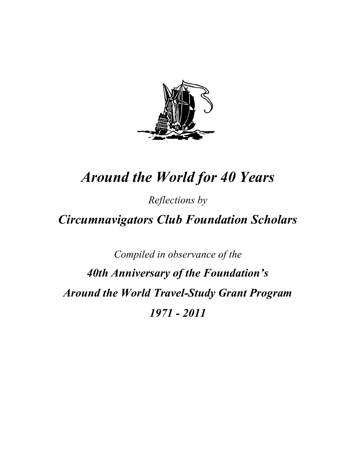

# *Around the World for 40 Years*

*Reflections by*

*Circumnavigators Club Foundation Scholars* 

*Compiled in observance of the 40th Anniversary of the Foundation's Around the World Travel-Study Grant Program 1971 - 2011*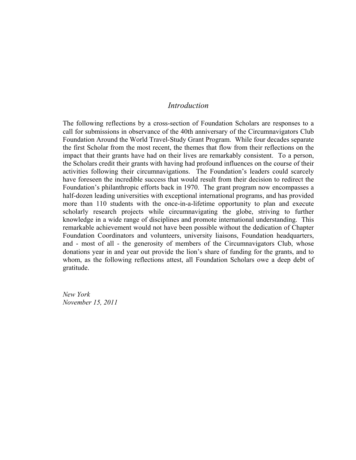# *Introduction*

The following reflections by a cross-section of Foundation Scholars are responses to a call for submissions in observance of the 40th anniversary of the Circumnavigators Club Foundation Around the World Travel-Study Grant Program. While four decades separate the first Scholar from the most recent, the themes that flow from their reflections on the impact that their grants have had on their lives are remarkably consistent. To a person, the Scholars credit their grants with having had profound influences on the course of their activities following their circumnavigations. The Foundation's leaders could scarcely have foreseen the incredible success that would result from their decision to redirect the Foundation's philanthropic efforts back in 1970. The grant program now encompasses a half-dozen leading universities with exceptional international programs, and has provided more than 110 students with the once-in-a-lifetime opportunity to plan and execute scholarly research projects while circumnavigating the globe, striving to further knowledge in a wide range of disciplines and promote international understanding. This remarkable achievement would not have been possible without the dedication of Chapter Foundation Coordinators and volunteers, university liaisons, Foundation headquarters, and - most of all - the generosity of members of the Circumnavigators Club, whose donations year in and year out provide the lion's share of funding for the grants, and to whom, as the following reflections attest, all Foundation Scholars owe a deep debt of gratitude.

*New York November 15, 2011*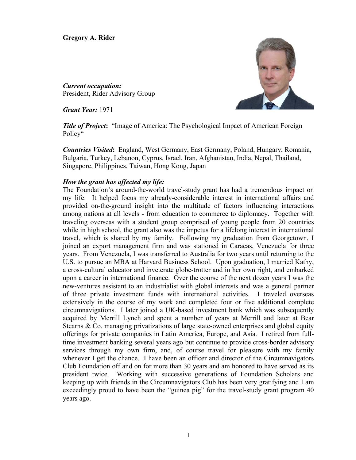**Gregory A. Rider** 



*Current occupation:* President, Rider Advisory Group

*Grant Year:* 1971

*Title of Project***:** "Image of America: The Psychological Impact of American Foreign Policy"

*Countries Visited***:** England, West Germany, East Germany, Poland, Hungary, Romania, Bulgaria, Turkey, Lebanon, Cyprus, Israel, Iran, Afghanistan, India, Nepal, Thailand, Singapore, Philippines, Taiwan, Hong Kong, Japan

# *How the grant has affected my life:*

The Foundation's around-the-world travel-study grant has had a tremendous impact on my life. It helped focus my already-considerable interest in international affairs and provided on-the-ground insight into the multitude of factors influencing interactions among nations at all levels - from education to commerce to diplomacy. Together with traveling overseas with a student group comprised of young people from 20 countries while in high school, the grant also was the impetus for a lifelong interest in international travel, which is shared by my family. Following my graduation from Georgetown, I joined an export management firm and was stationed in Caracas, Venezuela for three years. From Venezuela, I was transferred to Australia for two years until returning to the U.S. to pursue an MBA at Harvard Business School. Upon graduation, I married Kathy, a cross-cultural educator and inveterate globe-trotter and in her own right, and embarked upon a career in international finance. Over the course of the next dozen years I was the new-ventures assistant to an industrialist with global interests and was a general partner of three private investment funds with international activities. I traveled overseas extensively in the course of my work and completed four or five additional complete circumnavigations. I later joined a UK-based investment bank which was subsequently acquired by Merrill Lynch and spent a number of years at Merrill and later at Bear Stearns & Co. managing privatizations of large state-owned enterprises and global equity offerings for private companies in Latin America, Europe, and Asia. I retired from fulltime investment banking several years ago but continue to provide cross-border advisory services through my own firm, and, of course travel for pleasure with my family whenever I get the chance. I have been an officer and director of the Circumnavigators Club Foundation off and on for more than 30 years and am honored to have served as its president twice. Working with successive generations of Foundation Scholars and keeping up with friends in the Circumnavigators Club has been very gratifying and I am exceedingly proud to have been the "guinea pig" for the travel-study grant program 40 years ago.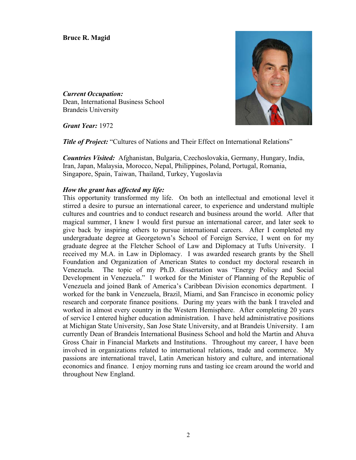*Current Occupation:*  Dean, International Business School Brandeis University



*Grant Year:* 1972

**Title of Project:** "Cultures of Nations and Their Effect on International Relations"

*Countries Visited:* Afghanistan, Bulgaria, Czechoslovakia, Germany, Hungary, India, Iran, Japan, Malaysia, Morocco, Nepal, Philippines, Poland, Portugal, Romania, Singapore, Spain, Taiwan, Thailand, Turkey, Yugoslavia

#### *How the grant has affected my life:*

This opportunity transformed my life. On both an intellectual and emotional level it stirred a desire to pursue an international career, to experience and understand multiple cultures and countries and to conduct research and business around the world. After that magical summer, I knew I would first pursue an international career, and later seek to give back by inspiring others to pursue international careers. After I completed my undergraduate degree at Georgetown's School of Foreign Service, I went on for my graduate degree at the Fletcher School of Law and Diplomacy at Tufts University. I received my M.A. in Law in Diplomacy. I was awarded research grants by the Shell Foundation and Organization of American States to conduct my doctoral research in Venezuela. The topic of my Ph.D. dissertation was "Energy Policy and Social Development in Venezuela." I worked for the Minister of Planning of the Republic of Venezuela and joined Bank of America's Caribbean Division economics department. I worked for the bank in Venezuela, Brazil, Miami, and San Francisco in economic policy research and corporate finance positions. During my years with the bank I traveled and worked in almost every country in the Western Hemisphere. After completing 20 years of service I entered higher education administration. I have held administrative positions at Michigan State University, San Jose State University, and at Brandeis University. I am currently Dean of Brandeis International Business School and hold the Martin and Ahuva Gross Chair in Financial Markets and Institutions. Throughout my career, I have been involved in organizations related to international relations, trade and commerce. My passions are international travel, Latin American history and culture, and international economics and finance. I enjoy morning runs and tasting ice cream around the world and throughout New England.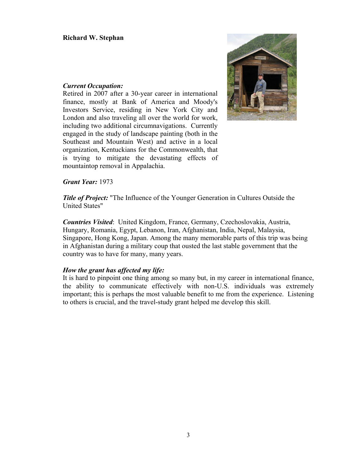# *Current Occupation:*

Retired in 2007 after a 30-year career in international finance, mostly at Bank of America and Moody's Investors Service, residing in New York City and London and also traveling all over the world for work, including two additional circumnavigations. Currently engaged in the study of landscape painting (both in the Southeast and Mountain West) and active in a local organization, Kentuckians for the Commonwealth, that is trying to mitigate the devastating effects of mountaintop removal in Appalachia.



# *Grant Year:* 1973

*Title of Project:* "The Influence of the Younger Generation in Cultures Outside the United States"

*Countries Visited*: United Kingdom, France, Germany, Czechoslovakia, Austria, Hungary, Romania, Egypt, Lebanon, Iran, Afghanistan, India, Nepal, Malaysia, Singapore, Hong Kong, Japan. Among the many memorable parts of this trip was being in Afghanistan during a military coup that ousted the last stable government that the country was to have for many, many years.

# *How the grant has affected my life:*

It is hard to pinpoint one thing among so many but, in my career in international finance, the ability to communicate effectively with non-U.S. individuals was extremely important; this is perhaps the most valuable benefit to me from the experience. Listening to others is crucial, and the travel-study grant helped me develop this skill.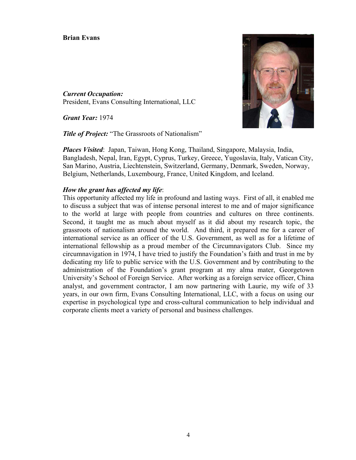# **Brian Evans**

*Current Occupation:*  President, Evans Consulting International, LLC

*Grant Year:* 1974

**Title of Project:** "The Grassroots of Nationalism"



*Places Visited*: Japan, Taiwan, Hong Kong, Thailand, Singapore, Malaysia, India, Bangladesh, Nepal, Iran, Egypt, Cyprus, Turkey, Greece, Yugoslavia, Italy, Vatican City, San Marino, Austria, Liechtenstein, Switzerland, Germany, Denmark, Sweden, Norway, Belgium, Netherlands, Luxembourg, France, United Kingdom, and Iceland.

# *How the grant has affected my life*:

This opportunity affected my life in profound and lasting ways. First of all, it enabled me to discuss a subject that was of intense personal interest to me and of major significance to the world at large with people from countries and cultures on three continents. Second, it taught me as much about myself as it did about my research topic, the grassroots of nationalism around the world. And third, it prepared me for a career of international service as an officer of the U.S. Government, as well as for a lifetime of international fellowship as a proud member of the Circumnavigators Club. Since my circumnavigation in 1974, I have tried to justify the Foundation's faith and trust in me by dedicating my life to public service with the U.S. Government and by contributing to the administration of the Foundation's grant program at my alma mater, Georgetown University's School of Foreign Service. After working as a foreign service officer, China analyst, and government contractor, I am now partnering with Laurie, my wife of 33 years, in our own firm, Evans Consulting International, LLC, with a focus on using our expertise in psychological type and cross-cultural communication to help individual and corporate clients meet a variety of personal and business challenges.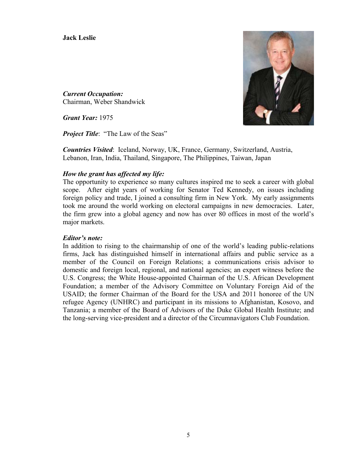**Jack Leslie** 



*Current Occupation:*  Chairman, Weber Shandwick

*Grant Year:* 1975

*Project Title*: "The Law of the Seas"

*Countries Visited*: Iceland, Norway, UK, France, Germany, Switzerland, Austria, Lebanon, Iran, India, Thailand, Singapore, The Philippines, Taiwan, Japan

# *How the grant has affected my life:*

The opportunity to experience so many cultures inspired me to seek a career with global scope. After eight years of working for Senator Ted Kennedy, on issues including foreign policy and trade, I joined a consulting firm in New York. My early assignments took me around the world working on electoral campaigns in new democracies. Later, the firm grew into a global agency and now has over 80 offices in most of the world's major markets.

# *Editor's note:*

In addition to rising to the chairmanship of one of the world's leading public-relations firms, Jack has distinguished himself in international affairs and public service as a member of the Council on Foreign Relations; a communications crisis advisor to domestic and foreign local, regional, and national agencies; an expert witness before the U.S. Congress; the White House-appointed Chairman of the U.S. African Development Foundation; a member of the Advisory Committee on Voluntary Foreign Aid of the USAID; the former Chairman of the Board for the USA and 2011 honoree of the UN refugee Agency (UNHRC) and participant in its missions to Afghanistan, Kosovo, and Tanzania; a member of the Board of Advisors of the Duke Global Health Institute; and the long-serving vice-president and a director of the Circumnavigators Club Foundation.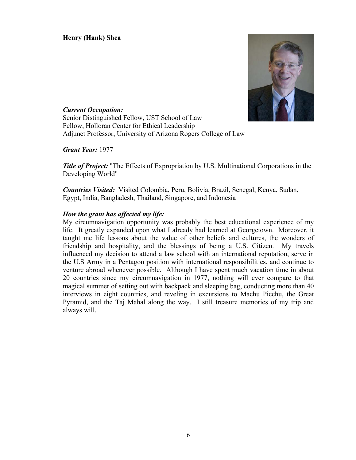**Henry (Hank) Shea** 



*Current Occupation:*  Senior Distinguished Fellow, UST School of Law Fellow, Holloran Center for Ethical Leadership Adjunct Professor, University of Arizona Rogers College of Law

*Grant Year:* 1977

*Title of Project:* "The Effects of Expropriation by U.S. Multinational Corporations in the Developing World"

*Countries Visited:* Visited Colombia, Peru, Bolivia, Brazil, Senegal, Kenya, Sudan, Egypt, India, Bangladesh, Thailand, Singapore, and Indonesia

# *How the grant has affected my life:*

My circumnavigation opportunity was probably the best educational experience of my life. It greatly expanded upon what I already had learned at Georgetown. Moreover, it taught me life lessons about the value of other beliefs and cultures, the wonders of friendship and hospitality, and the blessings of being a U.S. Citizen. My travels influenced my decision to attend a law school with an international reputation, serve in the U.S Army in a Pentagon position with international responsibilities, and continue to venture abroad whenever possible. Although I have spent much vacation time in about 20 countries since my circumnavigation in 1977, nothing will ever compare to that magical summer of setting out with backpack and sleeping bag, conducting more than 40 interviews in eight countries, and reveling in excursions to Machu Picchu, the Great Pyramid, and the Taj Mahal along the way. I still treasure memories of my trip and always will.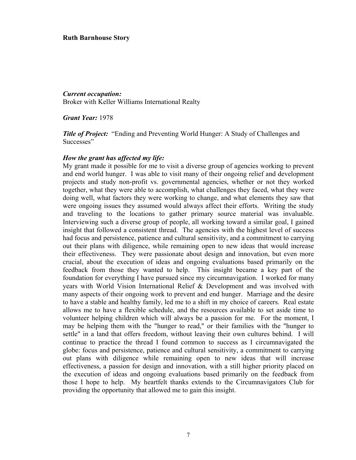#### **Ruth Barnhouse Story**

*Current occupation:*  Broker with Keller Williams International Realty

*Grant Year:* 1978

*Title of Project:* "Ending and Preventing World Hunger: A Study of Challenges and Successes"

# *How the grant has affected my life:*

My grant made it possible for me to visit a diverse group of agencies working to prevent and end world hunger. I was able to visit many of their ongoing relief and development projects and study non-profit vs. governmental agencies, whether or not they worked together, what they were able to accomplish, what challenges they faced, what they were doing well, what factors they were working to change, and what elements they saw that were ongoing issues they assumed would always affect their efforts. Writing the study and traveling to the locations to gather primary source material was invaluable. Interviewing such a diverse group of people, all working toward a similar goal, I gained insight that followed a consistent thread. The agencies with the highest level of success had focus and persistence, patience and cultural sensitivity, and a commitment to carrying out their plans with diligence, while remaining open to new ideas that would increase their effectiveness. They were passionate about design and innovation, but even more crucial, about the execution of ideas and ongoing evaluations based primarily on the feedback from those they wanted to help. This insight became a key part of the foundation for everything I have pursued since my circumnavigation. I worked for many years with World Vision International Relief & Development and was involved with many aspects of their ongoing work to prevent and end hunger. Marriage and the desire to have a stable and healthy family, led me to a shift in my choice of careers. Real estate allows me to have a flexible schedule, and the resources available to set aside time to volunteer helping children which will always be a passion for me. For the moment, I may be helping them with the "hunger to read," or their families with the "hunger to settle" in a land that offers freedom, without leaving their own cultures behind. I will continue to practice the thread I found common to success as I circumnavigated the globe: focus and persistence, patience and cultural sensitivity, a commitment to carrying out plans with diligence while remaining open to new ideas that will increase effectiveness, a passion for design and innovation, with a still higher priority placed on the execution of ideas and ongoing evaluations based primarily on the feedback from those I hope to help. My heartfelt thanks extends to the Circumnavigators Club for providing the opportunity that allowed me to gain this insight.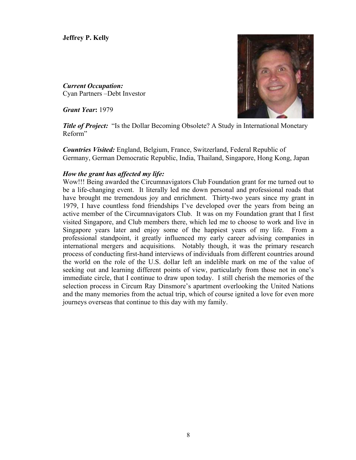**Jeffrey P. Kelly** 

*Current Occupation:*  Cyan Partners –Debt Investor

*Grant Year***:** 1979



*Title of Project:* "Is the Dollar Becoming Obsolete? A Study in International Monetary Reform"

*Countries Visited:* England, Belgium, France, Switzerland, Federal Republic of Germany, German Democratic Republic, India, Thailand, Singapore, Hong Kong, Japan

# *How the grant has affected my life:*

Wow!!! Being awarded the Circumnavigators Club Foundation grant for me turned out to be a life-changing event. It literally led me down personal and professional roads that have brought me tremendous joy and enrichment. Thirty-two years since my grant in 1979, I have countless fond friendships I've developed over the years from being an active member of the Circumnavigators Club. It was on my Foundation grant that I first visited Singapore, and Club members there, which led me to choose to work and live in Singapore years later and enjoy some of the happiest years of my life. From a professional standpoint, it greatly influenced my early career advising companies in international mergers and acquisitions. Notably though, it was the primary research process of conducting first-hand interviews of individuals from different countries around the world on the role of the U.S. dollar left an indelible mark on me of the value of seeking out and learning different points of view, particularly from those not in one's immediate circle, that I continue to draw upon today. I still cherish the memories of the selection process in Circum Ray Dinsmore's apartment overlooking the United Nations and the many memories from the actual trip, which of course ignited a love for even more journeys overseas that continue to this day with my family.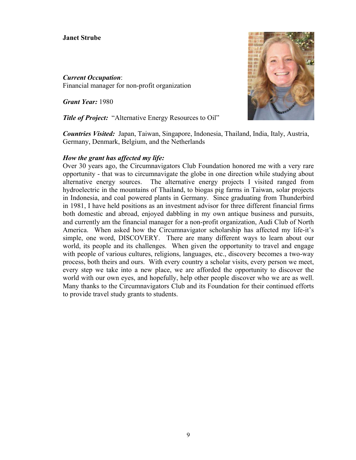# **Janet Strube**

*Current Occupation*: Financial manager for non-profit organization

*Grant Year:* 1980

*Title of Project:* "Alternative Energy Resources to Oil"



*Countries Visited:* Japan, Taiwan, Singapore, Indonesia, Thailand, India, Italy, Austria, Germany, Denmark, Belgium, and the Netherlands

#### *How the grant has affected my life:*

Over 30 years ago, the Circumnavigators Club Foundation honored me with a very rare opportunity - that was to circumnavigate the globe in one direction while studying about alternative energy sources. The alternative energy projects I visited ranged from hydroelectric in the mountains of Thailand, to biogas pig farms in Taiwan, solar projects in Indonesia, and coal powered plants in Germany. Since graduating from Thunderbird in 1981, I have held positions as an investment advisor for three different financial firms both domestic and abroad, enjoyed dabbling in my own antique business and pursuits, and currently am the financial manager for a non-profit organization, Audi Club of North America. When asked how the Circumnavigator scholarship has affected my life-it's simple, one word, DISCOVERY. There are many different ways to learn about our world, its people and its challenges. When given the opportunity to travel and engage with people of various cultures, religions, languages, etc., discovery becomes a two-way process, both theirs and ours. With every country a scholar visits, every person we meet, every step we take into a new place, we are afforded the opportunity to discover the world with our own eyes, and hopefully, help other people discover who we are as well. Many thanks to the Circumnavigators Club and its Foundation for their continued efforts to provide travel study grants to students.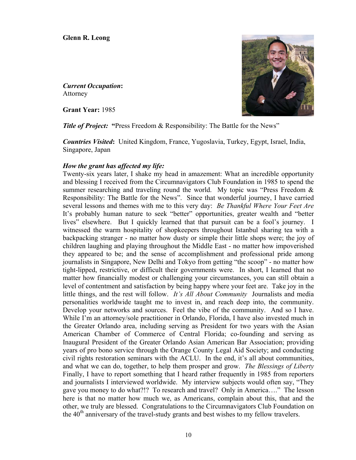**Glenn R. Leong**

*Current Occupation***:**  Attorney

**Grant Year:** 1985



**Title of Project: "Press Freedom & Responsibility: The Battle for the News"** 

*Countries Visited***:** United Kingdom, France, Yugoslavia, Turkey, Egypt, Israel, India, Singapore, Japan

# *How the grant has affected my life:*

Twenty-six years later, I shake my head in amazement: What an incredible opportunity and blessing I received from the Circumnavigators Club Foundation in 1985 to spend the summer researching and traveling round the world. My topic was "Press Freedom & Responsibility: The Battle for the News". Since that wonderful journey, I have carried several lessons and themes with me to this very day: *Be Thankful Where Your Feet Are* It's probably human nature to seek "better" opportunities, greater wealth and "better lives" elsewhere. But I quickly learned that that pursuit can be a fool's journey. I witnessed the warm hospitality of shopkeepers throughout Istanbul sharing tea with a backpacking stranger - no matter how dusty or simple their little shops were; the joy of children laughing and playing throughout the Middle East - no matter how impoverished they appeared to be; and the sense of accomplishment and professional pride among journalists in Singapore, New Delhi and Tokyo from getting "the scoop" - no matter how tight-lipped, restrictive, or difficult their governments were. In short, I learned that no matter how financially modest or challenging your circumstances, you can still obtain a level of contentment and satisfaction by being happy where your feet are. Take joy in the little things, and the rest will follow. *It's All About Community*Journalists and media personalities worldwide taught me to invest in, and reach deep into, the community. Develop your networks and sources. Feel the vibe of the community. And so I have. While I'm an attorney/sole practitioner in Orlando, Florida, I have also invested much in the Greater Orlando area, including serving as President for two years with the Asian American Chamber of Commerce of Central Florida; co-founding and serving as Inaugural President of the Greater Orlando Asian American Bar Association; providing years of pro bono service through the Orange County Legal Aid Society; and conducting civil rights restoration seminars with the ACLU. In the end, it's all about communities, and what we can do, together, to help them prosper and grow. *The Blessings of Liberty* Finally, I have to report something that I heard rather frequently in 1985 from reporters and journalists I interviewed worldwide. My interview subjects would often say, "They gave you money to do what?!? To research and travel? Only in America…." The lesson here is that no matter how much we, as Americans, complain about this, that and the other, we truly are blessed. Congratulations to the Circumnavigators Club Foundation on the  $40<sup>th</sup>$  anniversary of the travel-study grants and best wishes to my fellow travelers.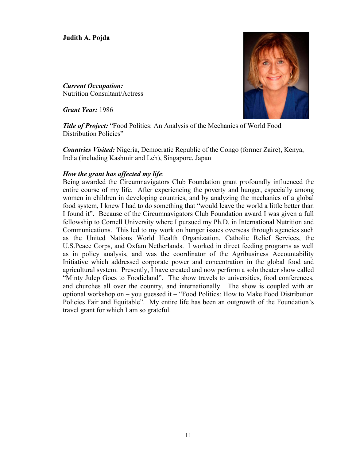**Judith A. Pojda**

*Current Occupation:* Nutrition Consultant/Actress

*Grant Year:* 1986



*Title of Project:* "Food Politics: An Analysis of the Mechanics of World Food Distribution Policies"

*Countries Visited:* Nigeria, Democratic Republic of the Congo (former Zaire), Kenya, India (including Kashmir and Leh), Singapore, Japan

# *How the grant has affected my life*:

Being awarded the Circumnavigators Club Foundation grant profoundly influenced the entire course of my life. After experiencing the poverty and hunger, especially among women in children in developing countries, and by analyzing the mechanics of a global food system, I knew I had to do something that "would leave the world a little better than I found it". Because of the Circumnavigators Club Foundation award I was given a full fellowship to Cornell University where I pursued my Ph.D. in International Nutrition and Communications. This led to my work on hunger issues overseas through agencies such as the United Nations World Health Organization, Catholic Relief Services, the U.S.Peace Corps, and Oxfam Netherlands. I worked in direct feeding programs as well as in policy analysis, and was the coordinator of the Agribusiness Accountability Initiative which addressed corporate power and concentration in the global food and agricultural system. Presently, I have created and now perform a solo theater show called "Minty Julep Goes to Foodieland". The show travels to universities, food conferences, and churches all over the country, and internationally. The show is coupled with an optional workshop on – you guessed it – "Food Politics: How to Make Food Distribution Policies Fair and Equitable". My entire life has been an outgrowth of the Foundation's travel grant for which I am so grateful.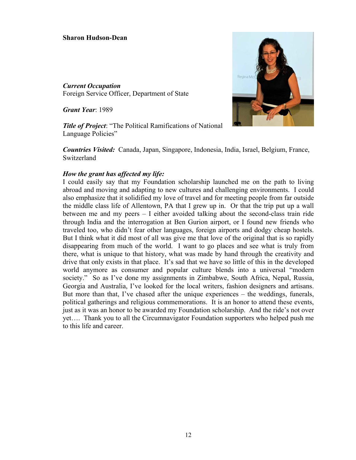# **Sharon Hudson-Dean**

*Current Occupation*  Foreign Service Officer, Department of State

*Grant Year*: 1989

*Title of Project*: "The Political Ramifications of National Language Policies"

*Countries Visited:* Canada, Japan, Singapore, Indonesia, India, Israel, Belgium, France, **Switzerland** 

#### *How the grant has affected my life:*

I could easily say that my Foundation scholarship launched me on the path to living abroad and moving and adapting to new cultures and challenging environments. I could also emphasize that it solidified my love of travel and for meeting people from far outside the middle class life of Allentown, PA that I grew up in. Or that the trip put up a wall between me and my peers – I either avoided talking about the second-class train ride through India and the interrogation at Ben Gurion airport, or I found new friends who traveled too, who didn't fear other languages, foreign airports and dodgy cheap hostels. But I think what it did most of all was give me that love of the original that is so rapidly disappearing from much of the world. I want to go places and see what is truly from there, what is unique to that history, what was made by hand through the creativity and drive that only exists in that place. It's sad that we have so little of this in the developed world anymore as consumer and popular culture blends into a universal "modern society." So as I've done my assignments in Zimbabwe, South Africa, Nepal, Russia, Georgia and Australia, I've looked for the local writers, fashion designers and artisans. But more than that, I've chased after the unique experiences – the weddings, funerals, political gatherings and religious commemorations. It is an honor to attend these events, just as it was an honor to be awarded my Foundation scholarship. And the ride's not over yet…. Thank you to all the Circumnavigator Foundation supporters who helped push me to this life and career.

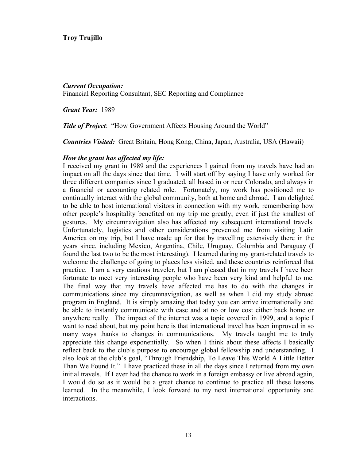# **Troy Trujillo**

#### *Current Occupation:*

Financial Reporting Consultant, SEC Reporting and Compliance

*Grant Year:* 1989

*Title of Project*: "How Government Affects Housing Around the World"

*Countries Visited:* Great Britain, Hong Kong, China, Japan, Australia, USA (Hawaii)

#### *How the grant has affected my life:*

I received my grant in 1989 and the experiences I gained from my travels have had an impact on all the days since that time. I will start off by saying I have only worked for three different companies since I graduated, all based in or near Colorado, and always in a financial or accounting related role. Fortunately, my work has positioned me to continually interact with the global community, both at home and abroad. I am delighted to be able to host international visitors in connection with my work, remembering how other people's hospitality benefited on my trip me greatly, even if just the smallest of gestures. My circumnavigation also has affected my subsequent international travels. Unfortunately, logistics and other considerations prevented me from visiting Latin America on my trip, but I have made up for that by travelling extensively there in the years since, including Mexico, Argentina, Chile, Uruguay, Columbia and Paraguay (I found the last two to be the most interesting). I learned during my grant-related travels to welcome the challenge of going to places less visited, and these countries reinforced that practice. I am a very cautious traveler, but I am pleased that in my travels I have been fortunate to meet very interesting people who have been very kind and helpful to me. The final way that my travels have affected me has to do with the changes in communications since my circumnavigation, as well as when I did my study abroad program in England. It is simply amazing that today you can arrive internationally and be able to instantly communicate with ease and at no or low cost either back home or anywhere really. The impact of the internet was a topic covered in 1999, and a topic I want to read about, but my point here is that international travel has been improved in so many ways thanks to changes in communications. My travels taught me to truly appreciate this change exponentially.So when I think about these affects I basically reflect back to the club's purpose to encourage global fellowship and understanding. I also look at the club's goal, "Through Friendship, To Leave This World A Little Better Than We Found It." I have practiced these in all the days since I returned from my own initial travels. If I ever had the chance to work in a foreign embassy or live abroad again, I would do so as it would be a great chance to continue to practice all these lessons learned. In the meanwhile, I look forward to my next international opportunity and interactions.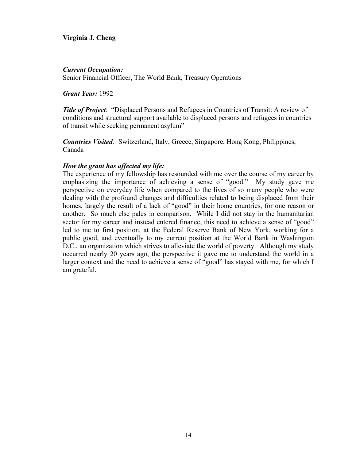# **Virginia J. Cheng**

# *Current Occupation:*

Senior Financial Officer, The World Bank, Treasury Operations

*Grant Year:* 1992

*Title of Project*: "Displaced Persons and Refugees in Countries of Transit: A review of conditions and structural support available to displaced persons and refugees in countries of transit while seeking permanent asylum"

*Countries Visited:* Switzerland, Italy, Greece, Singapore, Hong Kong, Philippines, Canada

# *How the grant has affected my life:*

The experience of my fellowship has resounded with me over the course of my career by emphasizing the importance of achieving a sense of "good." My study gave me perspective on everyday life when compared to the lives of so many people who were dealing with the profound changes and difficulties related to being displaced from their homes, largely the result of a lack of "good" in their home countries, for one reason or another. So much else pales in comparison. While I did not stay in the humanitarian sector for my career and instead entered finance, this need to achieve a sense of "good" led to me to first position, at the Federal Reserve Bank of New York, working for a public good, and eventually to my current position at the World Bank in Washington D.C., an organization which strives to alleviate the world of poverty. Although my study occurred nearly 20 years ago, the perspective it gave me to understand the world in a larger context and the need to achieve a sense of "good" has stayed with me, for which I am grateful.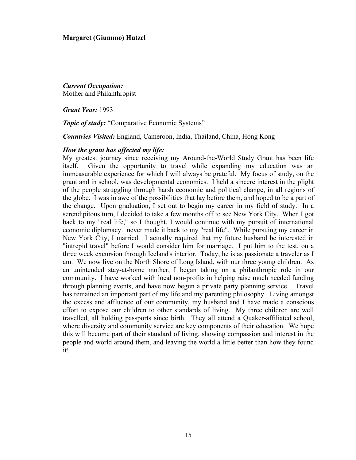# **Margaret (Giummo) Hutzel**

*Current Occupation:* Mother and Philanthropist

*Grant Year:* 1993

**Topic of study:** "Comparative Economic Systems"

*Countries Visited:* England, Cameroon, India, Thailand, China, Hong Kong

#### *How the grant has affected my life:*

My greatest journey since receiving my Around-the-World Study Grant has been life itself. Given the opportunity to travel while expanding my education was an immeasurable experience for which I will always be grateful. My focus of study, on the grant and in school, was developmental economics. I held a sincere interest in the plight of the people struggling through harsh economic and political change, in all regions of the globe. I was in awe of the possibilities that lay before them, and hoped to be a part of the change.Upon graduation, I set out to begin my career in my field of study. In a serendipitous turn, I decided to take a few months off to see New York City. When I got back to my "real life," so I thought, I would continue with my pursuit of international economic diplomacy. never made it back to my "real life". While pursuing my career in New York City, I married. I actually required that my future husband be interested in "intrepid travel" before I would consider him for marriage. I put him to the test, on a three week excursion through Iceland's interior. Today, he is as passionate a traveler as I am. We now live on the North Shore of Long Island, with our three young children.As an unintended stay-at-home mother, I began taking on a philanthropic role in our community. I have worked with local non-profits in helping raise much needed funding through planning events, and have now begun a private party planning service. Travel has remained an important part of my life and my parenting philosophy. Living amongst the excess and affluence of our community, my husband and I have made a conscious effort to expose our children to other standards of living. My three children are well travelled, all holding passports since birth. They all attend a Quaker-affiliated school, where diversity and community service are key components of their education. We hope this will become part of their standard of living, showing compassion and interest in the people and world around them, and leaving the world a little better than how they found it!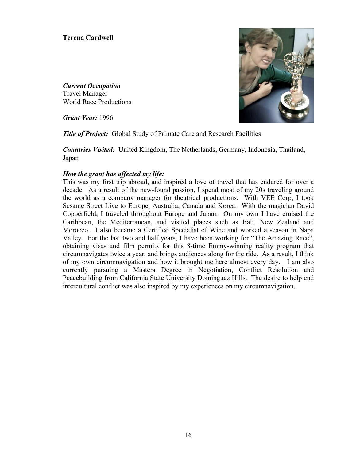# **Terena Cardwell**

*Current Occupation*  Travel Manager World Race Productions

*Grant Year:* 1996



*Title of Project:* Global Study of Primate Care and Research Facilities

*Countries Visited:* United Kingdom, The Netherlands, Germany, Indonesia, Thailand**,** Japan

# *How the grant has affected my life:*

This was my first trip abroad, and inspired a love of travel that has endured for over a decade. As a result of the new-found passion, I spend most of my 20s traveling around the world as a company manager for theatrical productions. With VEE Corp, I took Sesame Street Live to Europe, Australia, Canada and Korea. With the magician David Copperfield, I traveled throughout Europe and Japan. On my own I have cruised the Caribbean, the Mediterranean, and visited places such as Bali, New Zealand and Morocco. I also became a Certified Specialist of Wine and worked a season in Napa Valley. For the last two and half years, I have been working for "The Amazing Race", obtaining visas and film permits for this 8-time Emmy-winning reality program that circumnavigates twice a year, and brings audiences along for the ride. As a result, I think of my own circumnavigation and how it brought me here almost every day. I am also currently pursuing a Masters Degree in Negotiation, Conflict Resolution and Peacebuilding from California State University Dominguez Hills. The desire to help end intercultural conflict was also inspired by my experiences on my circumnavigation.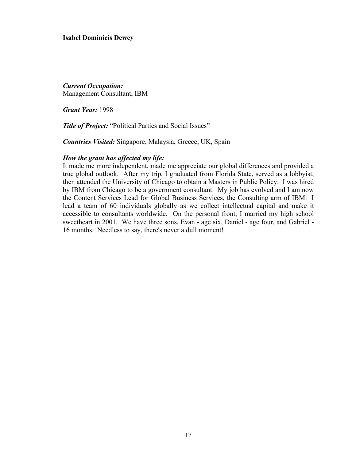#### **Isabel Dominicis Dewey**

*Current Occupation:*  Management Consultant, IBM

*Grant Year:* 1998

**Title of Project:** "Political Parties and Social Issues"

*Countries Visited:* Singapore, Malaysia, Greece, UK, Spain

#### *How the grant has affected my life:*

It made me more independent, made me appreciate our global differences and provided a true global outlook. After my trip, I graduated from Florida State, served as a lobbyist, then attended the University of Chicago to obtain a Masters in Public Policy. I was hired by IBM from Chicago to be a government consultant. My job has evolved and I am now the Content Services Lead for Global Business Services, the Consulting arm of IBM. I lead a team of 60 individuals globally as we collect intellectual capital and make it accessible to consultants worldwide. On the personal front, I married my high school sweetheart in 2001. We have three sons, Evan - age six, Daniel - age four, and Gabriel - 16 months. Needless to say, there's never a dull moment!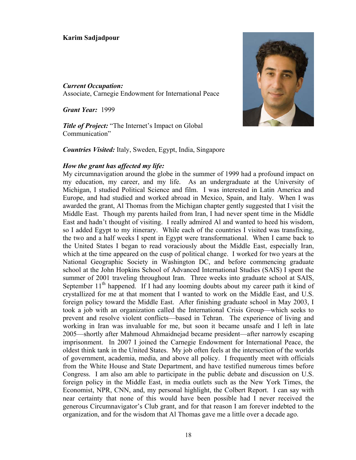#### **Karim Sadjadpour**

# *Current Occupation:*  Associate, Carnegie Endowment for International Peace

*Grant Year:* 1999

*Title of Project:* "The Internet's Impact on Global Communication"

*Countries Visited:* Italy, Sweden, Egypt, India, Singapore

#### *How the grant has affected my life:*

My circumnavigation around the globe in the summer of 1999 had a profound impact on my education, my career, and my life. As an undergraduate at the University of Michigan, I studied Political Science and film. I was interested in Latin America and Europe, and had studied and worked abroad in Mexico, Spain, and Italy. When I was awarded the grant, Al Thomas from the Michigan chapter gently suggested that I visit the Middle East. Though my parents hailed from Iran, I had never spent time in the Middle East and hadn't thought of visiting. I really admired Al and wanted to heed his wisdom, so I added Egypt to my itinerary. While each of the countries I visited was transfixing, the two and a half weeks I spent in Egypt were transformational. When I came back to the United States I began to read voraciously about the Middle East, especially Iran, which at the time appeared on the cusp of political change. I worked for two years at the National Geographic Society in Washington DC, and before commencing graduate school at the John Hopkins School of Advanced International Studies (SAIS) I spent the summer of 2001 traveling throughout Iran. Three weeks into graduate school at SAIS, September  $11<sup>th</sup>$  happened. If I had any looming doubts about my career path it kind of crystallized for me at that moment that I wanted to work on the Middle East, and U.S. foreign policy toward the Middle East. After finishing graduate school in May 2003, I took a job with an organization called the International Crisis Group—which seeks to prevent and resolve violent conflicts—based in Tehran. The experience of living and working in Iran was invaluable for me, but soon it became unsafe and I left in late 2005—shortly after Mahmoud Ahmaidnejad became president—after narrowly escaping imprisonment. In 2007 I joined the Carnegie Endowment for International Peace, the oldest think tank in the United States. My job often feels at the intersection of the worlds of government, academia, media, and above all policy. I frequently meet with officials from the White House and State Department, and have testified numerous times before Congress. I am also am able to participate in the public debate and discussion on U.S. foreign policy in the Middle East, in media outlets such as the New York Times, the Economist, NPR, CNN, and, my personal highlight, the Colbert Report. I can say with near certainty that none of this would have been possible had I never received the generous Circumnavigator's Club grant, and for that reason I am forever indebted to the organization, and for the wisdom that Al Thomas gave me a little over a decade ago.

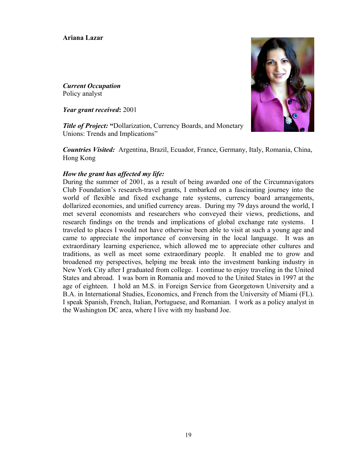# **Ariana Lazar**

*Current Occupation*  Policy analyst

*Year grant received***:** 2001

**Title of Project: "Dollarization, Currency Boards, and Monetary** Unions: Trends and Implications"

*Countries Visited:* Argentina, Brazil, Ecuador, France, Germany, Italy, Romania, China, Hong Kong

# *How the grant has affected my life:*

During the summer of 2001, as a result of being awarded one of the Circumnavigators Club Foundation's research-travel grants, I embarked on a fascinating journey into the world of flexible and fixed exchange rate systems, currency board arrangements, dollarized economies, and unified currency areas. During my 79 days around the world, I met several economists and researchers who conveyed their views, predictions, and research findings on the trends and implications of global exchange rate systems. I traveled to places I would not have otherwise been able to visit at such a young age and came to appreciate the importance of conversing in the local language. It was an extraordinary learning experience, which allowed me to appreciate other cultures and traditions, as well as meet some extraordinary people. It enabled me to grow and broadened my perspectives, helping me break into the investment banking industry in New York City after I graduated from college. I continue to enjoy traveling in the United States and abroad. I was born in Romania and moved to the United States in 1997 at the age of eighteen. I hold an M.S. in Foreign Service from Georgetown University and a B.A. in International Studies, Economics, and French from the University of Miami (FL). I speak Spanish, French, Italian, Portuguese, and Romanian. I work as a policy analyst in the Washington DC area, where I live with my husband Joe.

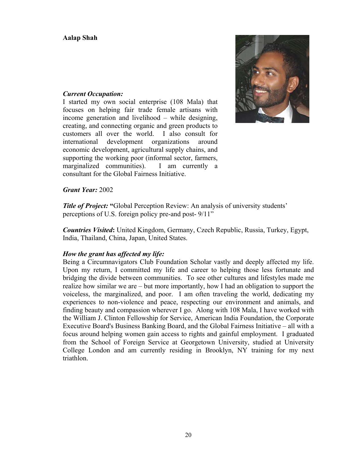

# *Current Occupation:*

I started my own social enterprise (108 Mala) that focuses on helping fair trade female artisans with income generation and livelihood – while designing, creating, and connecting organic and green products to customers all over the world. I also consult for international development organizations around economic development, agricultural supply chains, and supporting the working poor (informal sector, farmers, marginalized communities). I am currently a consultant for the Global Fairness Initiative.

# *Grant Year:* 2002

**Title of Project:** "Global Perception Review: An analysis of university students' perceptions of U.S. foreign policy pre-and post- 9/11"

*Countries Visited***:** United Kingdom, Germany, Czech Republic, Russia, Turkey, Egypt, India, Thailand, China, Japan, United States.

# *How the grant has affected my life:*

Being a Circumnavigators Club Foundation Scholar vastly and deeply affected my life. Upon my return, I committed my life and career to helping those less fortunate and bridging the divide between communities. To see other cultures and lifestyles made me realize how similar we are – but more importantly, how I had an obligation to support the voiceless, the marginalized, and poor. I am often traveling the world, dedicating my experiences to non-violence and peace, respecting our environment and animals, and finding beauty and compassion wherever I go. Along with 108 Mala, I have worked with the William J. Clinton Fellowship for Service, American India Foundation, the Corporate Executive Board's Business Banking Board, and the Global Fairness Initiative – all with a focus around helping women gain access to rights and gainful employment. I graduated from the School of Foreign Service at Georgetown University, studied at University College London and am currently residing in Brooklyn, NY training for my next triathlon.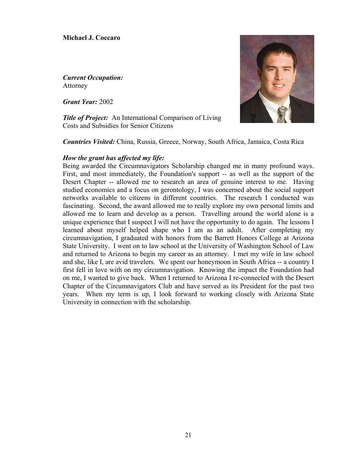**Michael J. Coccaro** 

*Current Occupation:*  Attorney

*Grant Year:* 2002

*Title of Project:* An International Comparison of Living Costs and Subsidies for Senior Citizens



*Countries Visited:* China, Russia, Greece, Norway, South Africa, Jamaica, Costa Rica

#### *How the grant has affected my life:*

Being awarded the Circumnavigators Scholarship changed me in many profound ways. First, and most immediately, the Foundation's support -- as well as the support of the Desert Chapter -- allowed me to research an area of genuine interest to me. Having studied economics and a focus on gerontology, I was concerned about the social support networks available to citizens in different countries. The research I conducted was fascinating. Second, the award allowed me to really explore my own personal limits and allowed me to learn and develop as a person. Travelling around the world alone is a unique experience that I suspect I will not have the opportunity to do again. The lessons I learned about myself helped shape who I am as an adult. After completing my circumnavigation, I graduated with honors from the Barrett Honors College at Arizona State University. I went on to law school at the University of Washington School of Law and returned to Arizona to begin my career as an attorney. I met my wife in law school and she, like I, are avid travelers. We spent our honeymoon in South Africa -- a country I first fell in love with on my circumnavigation. Knowing the impact the Foundation had on me, I wanted to give back. When I returned to Arizona I re-connected with the Desert Chapter of the Circumnavigators Club and have served as its President for the past two years. When my term is up, I look forward to working closely with Arizona State University in connection with the scholarship.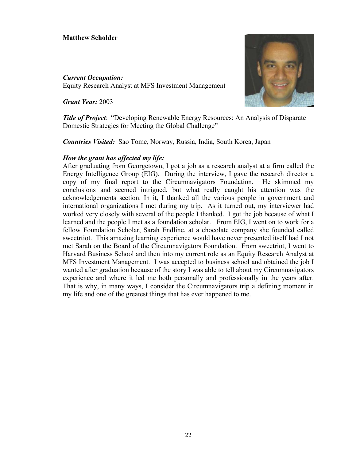# **Matthew Scholder**

*Current Occupation:* Equity Research Analyst at MFS Investment Management

*Grant Year:* 2003



*Title of Project*: "Developing Renewable Energy Resources: An Analysis of Disparate Domestic Strategies for Meeting the Global Challenge"

*Countries Visited:* Sao Tome, Norway, Russia, India, South Korea, Japan

# *How the grant has affected my life:*

After graduating from Georgetown, I got a job as a research analyst at a firm called the Energy Intelligence Group (EIG). During the interview, I gave the research director a copy of my final report to the Circumnavigators Foundation. He skimmed my conclusions and seemed intrigued, but what really caught his attention was the acknowledgements section. In it, I thanked all the various people in government and international organizations I met during my trip. As it turned out, my interviewer had worked very closely with several of the people I thanked. I got the job because of what I learned and the people I met as a foundation scholar. From EIG, I went on to work for a fellow Foundation Scholar, Sarah Endline, at a chocolate company she founded called sweetrtiot. This amazing learning experience would have never presented itself had I not met Sarah on the Board of the Circumnavigators Foundation. From sweetriot, I went to Harvard Business School and then into my current role as an Equity Research Analyst at MFS Investment Management. I was accepted to business school and obtained the job I wanted after graduation because of the story I was able to tell about my Circumnavigators experience and where it led me both personally and professionally in the years after. That is why, in many ways, I consider the Circumnavigators trip a defining moment in my life and one of the greatest things that has ever happened to me.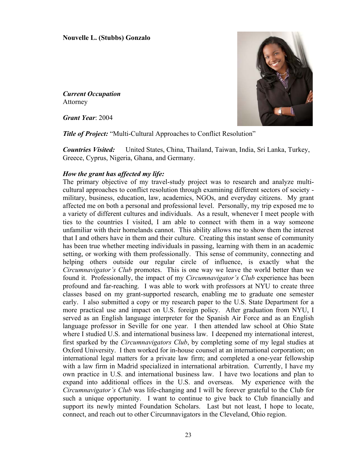## **Nouvelle L. (Stubbs) Gonzalo**

*Current Occupation*  Attorney

*Grant Year*: 2004



*Title of Project:* "Multi-Cultural Approaches to Conflict Resolution"

*Countries Visited:* United States, China, Thailand, Taiwan, India, Sri Lanka, Turkey, Greece, Cyprus, Nigeria, Ghana, and Germany.

# *How the grant has affected my life:*

The primary objective of my travel-study project was to research and analyze multicultural approaches to conflict resolution through examining different sectors of society military, business, education, law, academics, NGOs, and everyday citizens. My grant affected me on both a personal and professional level. Personally, my trip exposed me to a variety of different cultures and individuals. As a result, whenever I meet people with ties to the countries I visited, I am able to connect with them in a way someone unfamiliar with their homelands cannot. This ability allows me to show them the interest that I and others have in them and their culture. Creating this instant sense of community has been true whether meeting individuals in passing, learning with them in an academic setting, or working with them professionally. This sense of community, connecting and helping others outside our regular circle of influence, is exactly what the *Circumnavigator's Club* promotes. This is one way we leave the world better than we found it. Professionally, the impact of my *Circumnavigator's Club* experience has been profound and far-reaching. I was able to work with professors at NYU to create three classes based on my grant-supported research, enabling me to graduate one semester early. I also submitted a copy or my research paper to the U.S. State Department for a more practical use and impact on U.S. foreign policy. After graduation from NYU, I served as an English language interpreter for the Spanish Air Force and as an English language professor in Seville for one year. I then attended law school at Ohio State where I studied U.S. and international business law. I deepened my international interest, first sparked by the *Circumnavigators Club*, by completing some of my legal studies at Oxford University. I then worked for in-house counsel at an international corporation; on international legal matters for a private law firm; and completed a one-year fellowship with a law firm in Madrid specialized in international arbitration. Currently, I have my own practice in U.S. and international business law. I have two locations and plan to expand into additional offices in the U.S. and overseas. My experience with the *Circumnavigator's Club* was life-changing and I will be forever grateful to the Club for such a unique opportunity. I want to continue to give back to Club financially and support its newly minted Foundation Scholars. Last but not least, I hope to locate, connect, and reach out to other Circumnavigators in the Cleveland, Ohio region.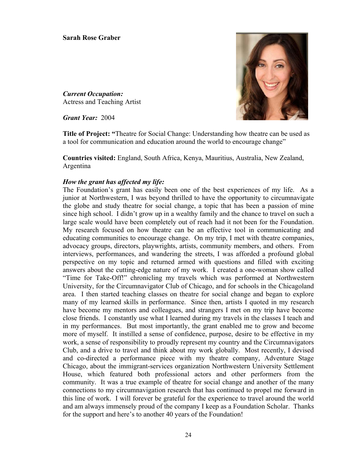*Current Occupation:*  Actress and Teaching Artist

*Grant Year:* 2004

**Title of Project: "**Theatre for Social Change: Understanding how theatre can be used as a tool for communication and education around the world to encourage change"

**Countries visited:** England, South Africa, Kenya, Mauritius, Australia, New Zealand, Argentina

# *How the grant has affected my life:*

The Foundation's grant has easily been one of the best experiences of my life. As a junior at Northwestern, I was beyond thrilled to have the opportunity to circumnavigate the globe and study theatre for social change, a topic that has been a passion of mine since high school. I didn't grow up in a wealthy family and the chance to travel on such a large scale would have been completely out of reach had it not been for the Foundation. My research focused on how theatre can be an effective tool in communicating and educating communities to encourage change. On my trip, I met with theatre companies, advocacy groups, directors, playwrights, artists, community members, and others. From interviews, performances, and wandering the streets, I was afforded a profound global perspective on my topic and returned armed with questions and filled with exciting answers about the cutting-edge nature of my work. I created a one-woman show called "Time for Take-Off!" chronicling my travels which was performed at Northwestern University, for the Circumnavigator Club of Chicago, and for schools in the Chicagoland area. I then started teaching classes on theatre for social change and began to explore many of my learned skills in performance. Since then, artists I quoted in my research have become my mentors and colleagues, and strangers I met on my trip have become close friends. I constantly use what I learned during my travels in the classes I teach and in my performances. But most importantly, the grant enabled me to grow and become more of myself. It instilled a sense of confidence, purpose, desire to be effective in my work, a sense of responsibility to proudly represent my country and the Circumnavigators Club, and a drive to travel and think about my work globally. Most recently, I devised and co-directed a performance piece with my theatre company, Adventure Stage Chicago, about the immigrant-services organization Northwestern University Settlement House, which featured both professional actors and other performers from the community. It was a true example of theatre for social change and another of the many connections to my circumnavigation research that has continued to propel me forward in this line of work. I will forever be grateful for the experience to travel around the world and am always immensely proud of the company I keep as a Foundation Scholar. Thanks for the support and here's to another 40 years of the Foundation!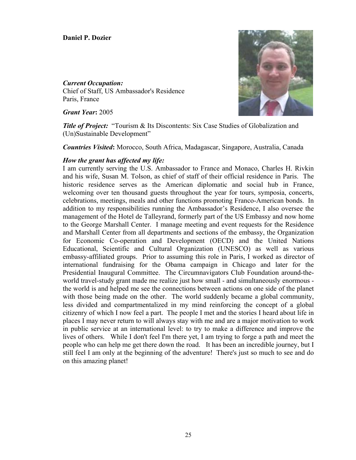### **Daniel P. Dozier**

*Current Occupation:* Chief of Staff, US Ambassador's Residence Paris, France

*Grant Year***:** 2005



**Title of Project:** "Tourism & Its Discontents: Six Case Studies of Globalization and (Un)Sustainable Development"

*Countries Visited***:** Morocco, South Africa, Madagascar, Singapore, Australia, Canada

# *How the grant has affected my life:*

I am currently serving the U.S. Ambassador to France and Monaco, Charles H. Rivkin and his wife, Susan M. Tolson, as chief of staff of their official residence in Paris. The historic residence serves as the American diplomatic and social hub in France, welcoming over ten thousand guests throughout the year for tours, symposia, concerts, celebrations, meetings, meals and other functions promoting Franco-American bonds. In addition to my responsibilities running the Ambassador's Residence, I also oversee the management of the Hotel de Talleyrand, formerly part of the US Embassy and now home to the George Marshall Center. I manage meeting and event requests for the Residence and Marshall Center from all departments and sections of the embassy, the Organization for Economic Co-operation and Development (OECD) and the United Nations Educational, Scientific and Cultural Organization (UNESCO) as well as various embassy-affiliated groups. Prior to assuming this role in Paris, I worked as director of international fundraising for the Obama campaign in Chicago and later for the Presidential Inaugural Committee. The Circumnavigators Club Foundation around-theworld travel-study grant made me realize just how small - and simultaneously enormous the world is and helped me see the connections between actions on one side of the planet with those being made on the other. The world suddenly became a global community, less divided and compartmentalized in my mind reinforcing the concept of a global citizenry of which I now feel a part. The people I met and the stories I heard about life in places I may never return to will always stay with me and are a major motivation to work in public service at an international level: to try to make a difference and improve the lives of others. While I don't feel I'm there yet, I am trying to forge a path and meet the people who can help me get there down the road. It has been an incredible journey, but I still feel I am only at the beginning of the adventure! There's just so much to see and do on this amazing planet!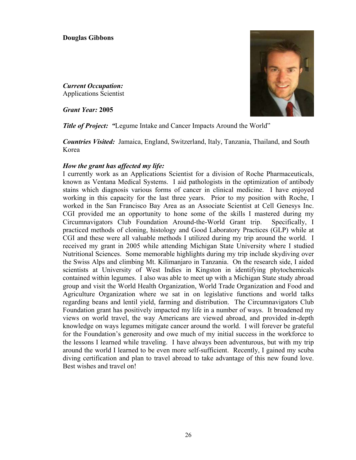*Current Occupation:*  Applications Scientist

*Grant Year:* **2005** 

**Title of Project: "**Legume Intake and Cancer Impacts Around the World"

*Countries Visited:* Jamaica, England, Switzerland, Italy, Tanzania, Thailand, and South Korea

# *How the grant has affected my life:*

I currently work as an Applications Scientist for a division of Roche Pharmaceuticals, known as Ventana Medical Systems. I aid pathologists in the optimization of antibody stains which diagnosis various forms of cancer in clinical medicine. I have enjoyed working in this capacity for the last three years. Prior to my position with Roche, I worked in the San Francisco Bay Area as an Associate Scientist at Cell Genesys Inc. CGI provided me an opportunity to hone some of the skills I mastered during my Circumnavigators Club Foundation Around-the-World Grant trip. Specifically, I practiced methods of cloning, histology and Good Laboratory Practices (GLP) while at CGI and these were all valuable methods I utilized during my trip around the world. I received my grant in 2005 while attending Michigan State University where I studied Nutritional Sciences. Some memorable highlights during my trip include skydiving over the Swiss Alps and climbing Mt. Kilimanjaro in Tanzania. On the research side, I aided scientists at University of West Indies in Kingston in identifying phytochemicals contained within legumes. I also was able to meet up with a Michigan State study abroad group and visit the World Health Organization, World Trade Organization and Food and Agriculture Organization where we sat in on legislative functions and world talks regarding beans and lentil yield, farming and distribution. The Circumnavigators Club Foundation grant has positively impacted my life in a number of ways. It broadened my views on world travel, the way Americans are viewed abroad, and provided in-depth knowledge on ways legumes mitigate cancer around the world. I will forever be grateful for the Foundation's generosity and owe much of my initial success in the workforce to the lessons I learned while traveling. I have always been adventurous, but with my trip around the world I learned to be even more self-sufficient. Recently, I gained my scuba diving certification and plan to travel abroad to take advantage of this new found love. Best wishes and travel on!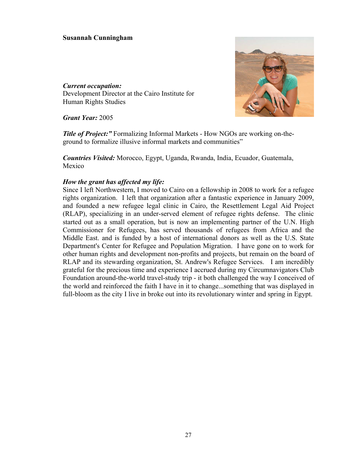# **Susannah Cunningham**

# *Current occupation:* Development Director at the Cairo Institute for Human Rights Studies



*Grant Year:* 2005

*Title of Project:"* Formalizing Informal Markets - How NGOs are working on-theground to formalize illusive informal markets and communities"

*Countries Visited:* Morocco, Egypt, Uganda, Rwanda, India, Ecuador, Guatemala, Mexico

# *How the grant has affected my life:*

Since I left Northwestern, I moved to Cairo on a fellowship in 2008 to work for a refugee rights organization. I left that organization after a fantastic experience in January 2009, and founded a new refugee legal clinic in Cairo, the Resettlement Legal Aid Project (RLAP), specializing in an under-served element of refugee rights defense. The clinic started out as a small operation, but is now an implementing partner of the U.N. High Commissioner for Refugees, has served thousands of refugees from Africa and the Middle East. and is funded by a host of international donors as well as the U.S. State Department's Center for Refugee and Population Migration. I have gone on to work for other human rights and development non-profits and projects, but remain on the board of RLAP and its stewarding organization, St. Andrew's Refugee Services. I am incredibly grateful for the precious time and experience I accrued during my Circumnavigators Club Foundation around-the-world travel-study trip - it both challenged the way I conceived of the world and reinforced the faith I have in it to change...something that was displayed in full-bloom as the city I live in broke out into its revolutionary winter and spring in Egypt.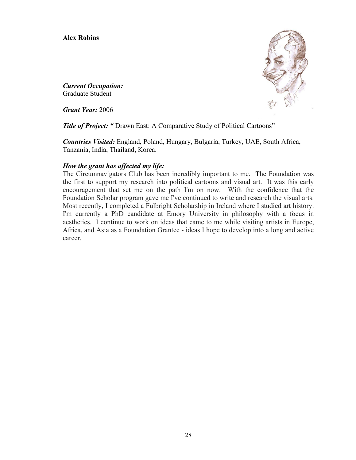# **Alex Robins**



*Current Occupation:*  Graduate Student

*Grant Year:* 2006

**Title of Project: "** Drawn East: A Comparative Study of Political Cartoons"

*Countries Visited:* England, Poland, Hungary, Bulgaria, Turkey, UAE, South Africa, Tanzania, India, Thailand, Korea.

# *How the grant has affected my life:*

The Circumnavigators Club has been incredibly important to me. The Foundation was the first to support my research into political cartoons and visual art. It was this early encouragement that set me on the path I'm on now. With the confidence that the Foundation Scholar program gave me I've continued to write and research the visual arts. Most recently, I completed a Fulbright Scholarship in Ireland where I studied art history. I'm currently a PhD candidate at Emory University in philosophy with a focus in aesthetics. I continue to work on ideas that came to me while visiting artists in Europe, Africa, and Asia as a Foundation Grantee - ideas I hope to develop into a long and active career.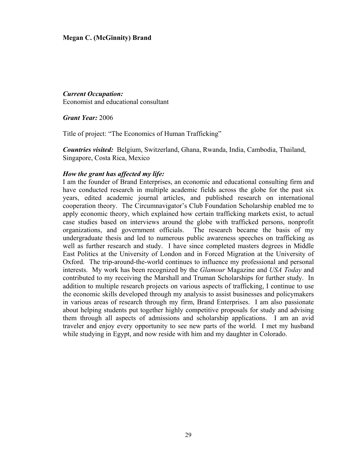# **Megan C. (McGinnity) Brand**

# *Current Occupation:*

Economist and educational consultant

*Grant Year:* 2006

Title of project: "The Economics of Human Trafficking"

*Countries visited:* Belgium, Switzerland, Ghana, Rwanda, India, Cambodia, Thailand, Singapore, Costa Rica, Mexico

#### *How the grant has affected my life:*

I am the founder of Brand Enterprises, an economic and educational consulting firm and have conducted research in multiple academic fields across the globe for the past six years, edited academic journal articles, and published research on international cooperation theory. The Circumnavigator's Club Foundation Scholarship enabled me to apply economic theory, which explained how certain trafficking markets exist, to actual case studies based on interviews around the globe with trafficked persons, nonprofit organizations, and government officials. The research became the basis of my undergraduate thesis and led to numerous public awareness speeches on trafficking as well as further research and study. I have since completed masters degrees in Middle East Politics at the University of London and in Forced Migration at the University of Oxford. The trip-around-the-world continues to influence my professional and personal interests. My work has been recognized by the *Glamour* Magazine and *USA Today* and contributed to my receiving the Marshall and Truman Scholarships for further study. In addition to multiple research projects on various aspects of trafficking, I continue to use the economic skills developed through my analysis to assist businesses and policymakers in various areas of research through my firm, Brand Enterprises. I am also passionate about helping students put together highly competitive proposals for study and advising them through all aspects of admissions and scholarship applications. I am an avid traveler and enjoy every opportunity to see new parts of the world. I met my husband while studying in Egypt, and now reside with him and my daughter in Colorado.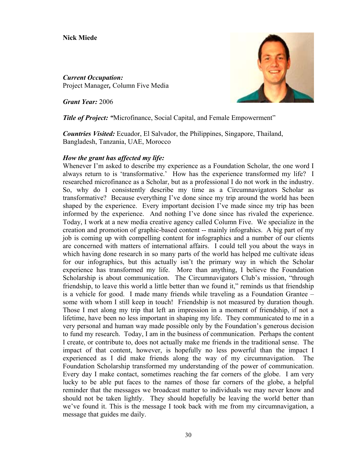# **Nick Miede**

*Current Occupation:*  Project Manager*,* Column Five Media

*Grant Year:* 2006



*Title of Project:* "Microfinance, Social Capital, and Female Empowerment"

*Countries Visited:* Ecuador, El Salvador, the Philippines, Singapore, Thailand, Bangladesh, Tanzania, UAE, Morocco

# *How the grant has affected my life:*

Whenever I'm asked to describe my experience as a Foundation Scholar, the one word I always return to is 'transformative.' How has the experience transformed my life? I researched microfinance as a Scholar, but as a professional I do not work in the industry. So, why do I consistently describe my time as a Circumnavigators Scholar as transformative? Because everything I've done since my trip around the world has been shaped by the experience. Every important decision I've made since my trip has been informed by the experience. And nothing I've done since has rivaled the experience. Today, I work at a new media creative agency called Column Five. We specialize in the creation and promotion of graphic-based content -- mainly infograhics. A big part of my job is coming up with compelling content for infographics and a number of our clients are concerned with matters of international affairs. I could tell you about the ways in which having done research in so many parts of the world has helped me cultivate ideas for our infographics, but this actually isn't the primary way in which the Scholar experience has transformed my life. More than anything, I believe the Foundation Scholarship is about communication. The Circumnavigators Club's mission, "through friendship, to leave this world a little better than we found it," reminds us that friendship is a vehicle for good. I made many friends while traveling as a Foundation Grantee – some with whom I still keep in touch! Friendship is not measured by duration though. Those I met along my trip that left an impression in a moment of friendship, if not a lifetime, have been no less important in shaping my life. They communicated to me in a very personal and human way made possible only by the Foundation's generous decision to fund my research. Today, I am in the business of communication. Perhaps the content I create, or contribute to, does not actually make me friends in the traditional sense. The impact of that content, however, is hopefully no less powerful than the impact I experienced as I did make friends along the way of my circumnavigation. The Foundation Scholarship transformed my understanding of the power of communication. Every day I make contact, sometimes reaching the far corners of the globe. I am very lucky to be able put faces to the names of those far corners of the globe, a helpful reminder that the messages we broadcast matter to individuals we may never know and should not be taken lightly. They should hopefully be leaving the world better than we've found it. This is the message I took back with me from my circumnavigation, a message that guides me daily.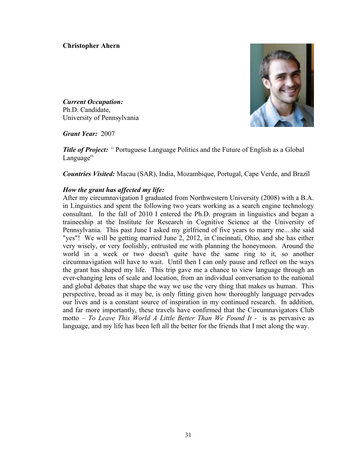# **Christopher Ahern**



*Current Occupation:*  Ph.D. Candidate, University of Pennsylvania

*Grant Year:* 2007

**Title of Project:** " Portuguese Language Politics and the Future of English as a Global Language"

*Countries Visited:* Macau (SAR), India, Mozambique, Portugal, Cape Verde, and Brazil

# *How the grant has affected my life:*

After my circumnavigation I graduated from Northwestern University (2008) with a B.A. in Linguistics and spent the following two years working as a search engine technology consultant. In the fall of 2010 I entered the Ph.D. program in linguistics and began a traineeship at the Institute for Research in Cognitive Science at the University of Pennsylvania. This past June I asked my girlfriend of five years to marry me....she said "yes"! We will be getting married June 2, 2012, in Cincinnati, Ohio, and she has either very wisely, or very foolishly, entrusted me with planning the honeymoon. Around the world in a week or two doesn't quite have the same ring to it, so another circumnavigation will have to wait. Until then I can only pause and reflect on the ways the grant has shaped my life. This trip gave me a chance to view language through an ever-changing lens of scale and location, from an individual conversation to the national and global debates that shape the way we use the very thing that makes us human. This perspective, broad as it may be, is only fitting given how thoroughly language pervades our lives and is a constant source of inspiration in my continued research. In addition, and far more importantly, these travels have confirmed that the Circumnavigators Club motto – *To Leave This World A Little Better Than We Found It* - is as pervasive as language, and my life has been left all the better for the friends that I met along the way.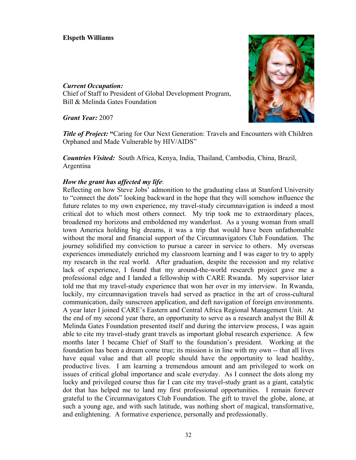# **Elspeth Williams**

#### *Current Occupation:*

Chief of Staff to President of Global Development Program, Bill & Melinda Gates Foundation

*Grant Year:* 2007

**Title of Project:** "Caring for Our Next Generation: Travels and Encounters with Children Orphaned and Made Vulnerable by HIV/AIDS"

*Countries Visited:* South Africa, Kenya, India, Thailand, Cambodia, China, Brazil, Argentina

# *How the grant has affected my life*:

Reflecting on how Steve Jobs' admonition to the graduating class at Stanford University to "connect the dots" looking backward in the hope that they will somehow influence the future relates to my own experience, my travel-study circumnavigation is indeed a most critical dot to which most others connect. My trip took me to extraordinary places, broadened my horizons and emboldened my wanderlust. As a young woman from small town America holding big dreams, it was a trip that would have been unfathomable without the moral and financial support of the Circumnavigators Club Foundation. The journey solidified my conviction to pursue a career in service to others. My overseas experiences immediately enriched my classroom learning and I was eager to try to apply my research in the real world. After graduation, despite the recession and my relative lack of experience, I found that my around-the-world research project gave me a professional edge and I landed a fellowship with CARE Rwanda. My supervisor later told me that my travel-study experience that won her over in my interview. In Rwanda, luckily, my circumnavigation travels had served as practice in the art of cross-cultural communication, daily sunscreen application, and deft navigation of foreign environments. A year later I joined CARE's Eastern and Central Africa Regional Management Unit. At the end of my second year there, an opportunity to serve as a research analyst the Bill  $\&$ Melinda Gates Foundation presented itself and during the interview process, I was again able to cite my travel-study grant travels as important global research experience. A few months later I became Chief of Staff to the foundation's president. Working at the foundation has been a dream come true; its mission is in line with my own -- that all lives have equal value and that all people should have the opportunity to lead healthy, productive lives. I am learning a tremendous amount and am privileged to work on issues of critical global importance and scale everyday. As I connect the dots along my lucky and privileged course thus far I can cite my travel-study grant as a giant, catalytic dot that has helped me to land my first professional opportunities. I remain forever grateful to the Circumnavigators Club Foundation. The gift to travel the globe, alone, at such a young age, and with such latitude, was nothing short of magical, transformative, and enlightening. A formative experience, personally and professionally.

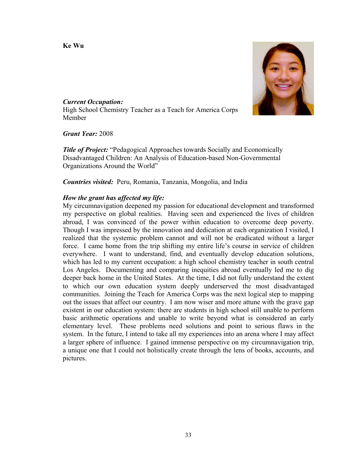**Ke Wu** 



*Current Occupation:* High School Chemistry Teacher as a Teach for America Corps Member

*Grant Year:* 2008

*Title of Project:* "Pedagogical Approaches towards Socially and Economically Disadvantaged Children: An Analysis of Education-based Non-Governmental Organizations Around the World"

*Countries visited:* Peru, Romania, Tanzania, Mongolia, and India

# *How the grant has affected my life:*

My circumnavigation deepened my passion for educational development and transformed my perspective on global realities. Having seen and experienced the lives of children abroad, I was convinced of the power within education to overcome deep poverty. Though I was impressed by the innovation and dedication at each organization I visited, I realized that the systemic problem cannot and will not be eradicated without a larger force. I came home from the trip shifting my entire life's course in service of children everywhere. I want to understand, find, and eventually develop education solutions, which has led to my current occupation: a high school chemistry teacher in south central Los Angeles. Documenting and comparing inequities abroad eventually led me to dig deeper back home in the United States. At the time, I did not fully understand the extent to which our own education system deeply underserved the most disadvantaged communities. Joining the Teach for America Corps was the next logical step to mapping out the issues that affect our country. I am now wiser and more attune with the grave gap existent in our education system: there are students in high school still unable to perform basic arithmetic operations and unable to write beyond what is considered an early elementary level. These problems need solutions and point to serious flaws in the system. In the future, I intend to take all my experiences into an arena where I may affect a larger sphere of influence. I gained immense perspective on my circumnavigation trip, a unique one that I could not holistically create through the lens of books, accounts, and pictures.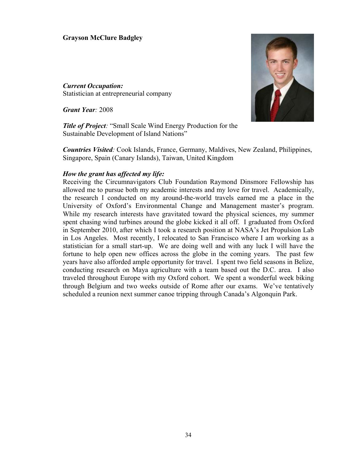# **Grayson McClure Badgley**

*Current Occupation:*  Statistician at entrepreneurial company

*Grant Year:* 2008

*Title of Project:* "Small Scale Wind Energy Production for the Sustainable Development of Island Nations"

*Countries Visited:* Cook Islands, France, Germany, Maldives, New Zealand, Philippines, Singapore, Spain (Canary Islands), Taiwan, United Kingdom

#### *How the grant has affected my life:*

Receiving the Circumnavigators Club Foundation Raymond Dinsmore Fellowship has allowed me to pursue both my academic interests and my love for travel. Academically, the research I conducted on my around-the-world travels earned me a place in the University of Oxford's Environmental Change and Management master's program. While my research interests have gravitated toward the physical sciences, my summer spent chasing wind turbines around the globe kicked it all off. I graduated from Oxford in September 2010, after which I took a research position at NASA's Jet Propulsion Lab in Los Angeles. Most recently, I relocated to San Francisco where I am working as a statistician for a small start-up. We are doing well and with any luck I will have the fortune to help open new offices across the globe in the coming years. The past few years have also afforded ample opportunity for travel. I spent two field seasons in Belize, conducting research on Maya agriculture with a team based out the D.C. area. I also traveled throughout Europe with my Oxford cohort. We spent a wonderful week biking through Belgium and two weeks outside of Rome after our exams. We've tentatively scheduled a reunion next summer canoe tripping through Canada's Algonquin Park.

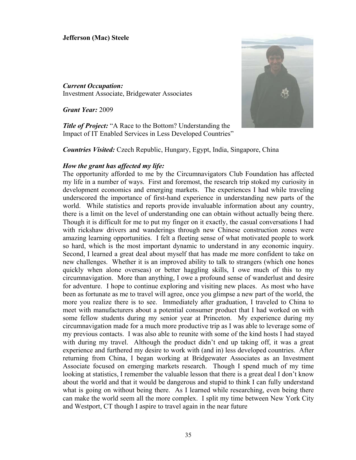### **Jefferson (Mac) Steele**

*Current Occupation:* Investment Associate, Bridgewater Associates

*Grant Year:* 2009

*Title of Project:* "A Race to the Bottom? Understanding the Impact of IT Enabled Services in Less Developed Countries"



*Countries Visited:* Czech Republic, Hungary, Egypt, India, Singapore, China

#### *How the grant has affected my life:*

The opportunity afforded to me by the Circumnavigators Club Foundation has affected my life in a number of ways. First and foremost, the research trip stoked my curiosity in development economics and emerging markets. The experiences I had while traveling underscored the importance of first-hand experience in understanding new parts of the world. While statistics and reports provide invaluable information about any country, there is a limit on the level of understanding one can obtain without actually being there. Though it is difficult for me to put my finger on it exactly, the casual conversations I had with rickshaw drivers and wanderings through new Chinese construction zones were amazing learning opportunities. I felt a fleeting sense of what motivated people to work so hard, which is the most important dynamic to understand in any economic inquiry. Second, I learned a great deal about myself that has made me more confident to take on new challenges. Whether it is an improved ability to talk to strangers (which one hones quickly when alone overseas) or better haggling skills, I owe much of this to my circumnavigation. More than anything, I owe a profound sense of wanderlust and desire for adventure. I hope to continue exploring and visiting new places. As most who have been as fortunate as me to travel will agree, once you glimpse a new part of the world, the more you realize there is to see. Immediately after graduation, I traveled to China to meet with manufacturers about a potential consumer product that I had worked on with some fellow students during my senior year at Princeton. My experience during my circumnavigation made for a much more productive trip as I was able to leverage some of my previous contacts. I was also able to reunite with some of the kind hosts I had stayed with during my travel. Although the product didn't end up taking off, it was a great experience and furthered my desire to work with (and in) less developed countries. After returning from China, I began working at Bridgewater Associates as an Investment Associate focused on emerging markets research. Though I spend much of my time looking at statistics, I remember the valuable lesson that there is a great deal I don't know about the world and that it would be dangerous and stupid to think I can fully understand what is going on without being there. As I learned while researching, even being there can make the world seem all the more complex. I split my time between New York City and Westport, CT though I aspire to travel again in the near future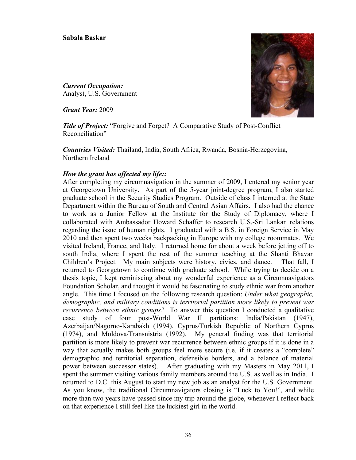#### **Sabala Baskar**

*Current Occupation:*  Analyst, U.S. Government

*Grant Year:* 2009



*Title of Project:* "Forgive and Forget? A Comparative Study of Post-Conflict Reconciliation"

*Countries Visited:* Thailand, India, South Africa, Rwanda, Bosnia-Herzegovina, Northern Ireland

# *How the grant has affected my life::*

After completing my circumnavigation in the summer of 2009, I entered my senior year at Georgetown University. As part of the 5-year joint-degree program, I also started graduate school in the Security Studies Program. Outside of class I interned at the State Department within the Bureau of South and Central Asian Affairs. I also had the chance to work as a Junior Fellow at the Institute for the Study of Diplomacy, where I collaborated with Ambassador Howard Schaffer to research U.S.-Sri Lankan relations regarding the issue of human rights. I graduated with a B.S. in Foreign Service in May 2010 and then spent two weeks backpacking in Europe with my college roommates. We visited Ireland, France, and Italy. I returned home for about a week before jetting off to south India, where I spent the rest of the summer teaching at the Shanti Bhavan Children's Project. My main subjects were history, civics, and dance. That fall, I returned to Georgetown to continue with graduate school. While trying to decide on a thesis topic, I kept reminiscing about my wonderful experience as a Circumnavigators Foundation Scholar, and thought it would be fascinating to study ethnic war from another angle. This time I focused on the following research question: *Under what geographic, demographic, and military conditions is territorial partition more likely to prevent war recurrence between ethnic groups?* To answer this question I conducted a qualitative case study of four post-World War II partitions: India/Pakistan (1947), Azerbaijan/Nagorno-Karabakh (1994), Cyprus/Turkish Republic of Northern Cyprus (1974), and Moldova/Transnistria (1992). My general finding was that territorial partition is more likely to prevent war recurrence between ethnic groups if it is done in a way that actually makes both groups feel more secure (i.e. if it creates a "complete" demographic and territorial separation, defensible borders, and a balance of material power between successor states). After graduating with my Masters in May 2011, I spent the summer visiting various family members around the U.S. as well as in India. I returned to D.C. this August to start my new job as an analyst for the U.S. Government. As you know, the traditional Circumnavigators closing is "Luck to You!", and while more than two years have passed since my trip around the globe, whenever I reflect back on that experience I still feel like the luckiest girl in the world.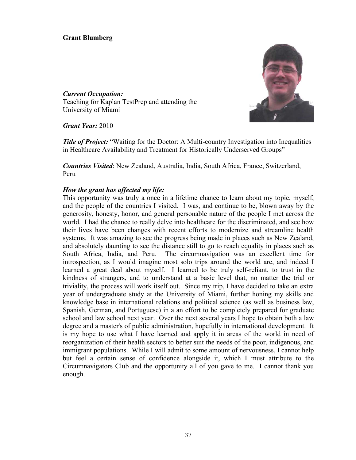# **Grant Blumberg**



*Current Occupation:*  Teaching for Kaplan TestPrep and attending the University of Miami

*Grant Year:* 2010

**Title of Project:** "Waiting for the Doctor: A Multi-country Investigation into Inequalities in Healthcare Availability and Treatment for Historically Underserved Groups"

*Countries Visited*: New Zealand, Australia, India, South Africa, France, Switzerland, Peru

# *How the grant has affected my life:*

This opportunity was truly a once in a lifetime chance to learn about my topic, myself, and the people of the countries I visited. I was, and continue to be, blown away by the generosity, honesty, honor, and general personable nature of the people I met across the world. I had the chance to really delve into healthcare for the discriminated, and see how their lives have been changes with recent efforts to modernize and streamline health systems. It was amazing to see the progress being made in places such as New Zealand, and absolutely daunting to see the distance still to go to reach equality in places such as South Africa, India, and Peru. The circumnavigation was an excellent time for introspection, as I would imagine most solo trips around the world are, and indeed I learned a great deal about myself. I learned to be truly self-reliant, to trust in the kindness of strangers, and to understand at a basic level that, no matter the trial or triviality, the process will work itself out. Since my trip, I have decided to take an extra year of undergraduate study at the University of Miami, further honing my skills and knowledge base in international relations and political science (as well as business law, Spanish, German, and Portuguese) in a an effort to be completely prepared for graduate school and law school next year. Over the next several years I hope to obtain both a law degree and a master's of public administration, hopefully in international development. It is my hope to use what I have learned and apply it in areas of the world in need of reorganization of their health sectors to better suit the needs of the poor, indigenous, and immigrant populations. While I will admit to some amount of nervousness, I cannot help but feel a certain sense of confidence alongside it, which I must attribute to the Circumnavigators Club and the opportunity all of you gave to me. I cannot thank you enough.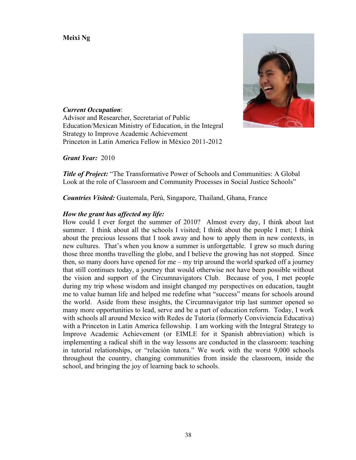**Meixi Ng**



*Current Occupation*: Advisor and Researcher, Secretariat of Public Education/Mexican Ministry of Education, in the Integral Strategy to Improve Academic Achievement Princeton in Latin America Fellow in México 2011-2012

*Grant Year:* 2010

*Title of Project:* "The Transformative Power of Schools and Communities: A Global Look at the role of Classroom and Community Processes in Social Justice Schools"

*Countries Visited:* Guatemala, Perú, Singapore, Thailand, Ghana, France

# *How the grant has affected my life:*

How could I ever forget the summer of 2010? Almost every day, I think about last summer. I think about all the schools I visited; I think about the people I met; I think about the precious lessons that I took away and how to apply them in new contexts, in new cultures. That's when you know a summer is unforgettable. I grew so much during those three months travelling the globe, and I believe the growing has not stopped. Since then, so many doors have opened for me – my trip around the world sparked off a journey that still continues today, a journey that would otherwise not have been possible without the vision and support of the Circumnavigators Club. Because of you, I met people during my trip whose wisdom and insight changed my perspectives on education, taught me to value human life and helped me redefine what "success" means for schools around the world. Aside from these insights, the Circumnavigator trip last summer opened so many more opportunities to lead, serve and be a part of education reform. Today, I work with schools all around Mexico with Redes de Tutoría (formerly Conviviencia Educativa) with a Princeton in Latin America fellowship. I am working with the Integral Strategy to Improve Academic Achievement (or EIMLE for it Spanish abbreviation) which is implementing a radical shift in the way lessons are conducted in the classroom: teaching in tutorial relationships, or "relación tutora." We work with the worst 9,000 schools throughout the country, changing communities from inside the classroom, inside the school, and bringing the joy of learning back to schools.